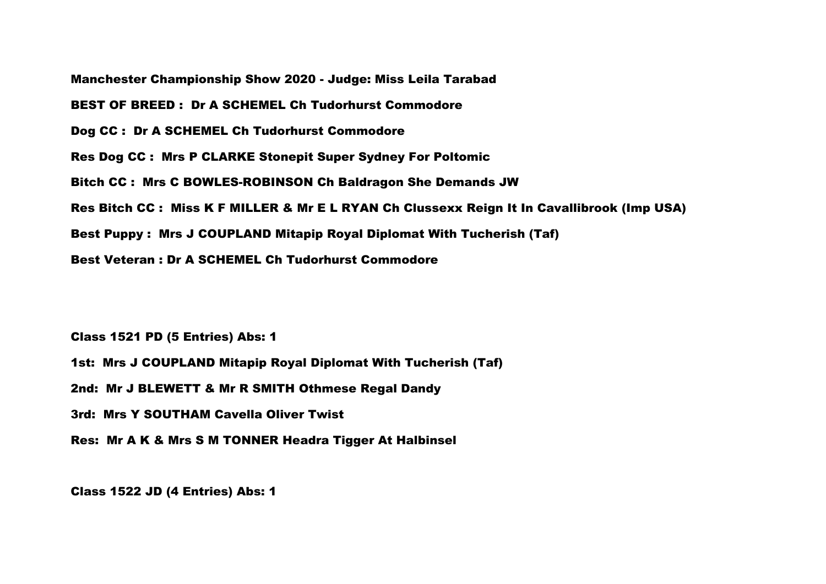Manchester Championship Show 2020 - Judge: Miss Leila Tarabad BEST OF BREED : Dr A SCHEMEL Ch Tudorhurst Commodore Dog CC : Dr A SCHEMEL Ch Tudorhurst Commodore Res Dog CC : Mrs P CLARKE Stonepit Super Sydney For Poltomic Bitch CC : Mrs C BOWLES-ROBINSON Ch Baldragon She Demands JW Res Bitch CC : Miss K F MILLER & Mr E L RYAN Ch Clussexx Reign It In Cavallibrook (Imp USA) Best Puppy : Mrs J COUPLAND Mitapip Royal Diplomat With Tucherish (Taf) Best Veteran : Dr A SCHEMEL Ch Tudorhurst Commodore

Class 1521 PD (5 Entries) Abs: 1

1st: Mrs J COUPLAND Mitapip Royal Diplomat With Tucherish (Taf)

2nd: Mr J BLEWETT & Mr R SMITH Othmese Regal Dandy

3rd: Mrs Y SOUTHAM Cavella Oliver Twist

Res: Mr A K & Mrs S M TONNER Headra Tigger At Halbinsel

Class 1522 JD (4 Entries) Abs: 1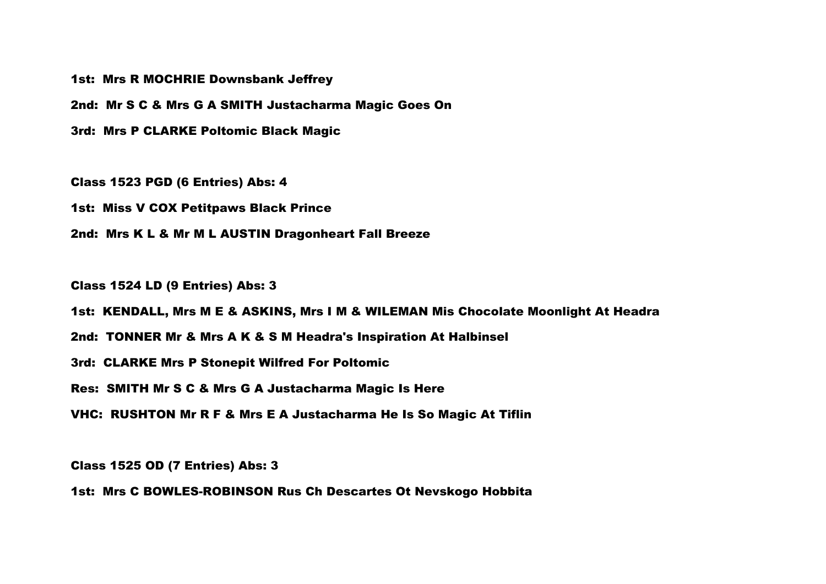1st: Mrs R MOCHRIE Downsbank Jeffrey

2nd: Mr S C & Mrs G A SMITH Justacharma Magic Goes On

3rd: Mrs P CLARKE Poltomic Black Magic

Class 1523 PGD (6 Entries) Abs: 4

1st: Miss V COX Petitpaws Black Prince

2nd: Mrs K L & Mr M L AUSTIN Dragonheart Fall Breeze

Class 1524 LD (9 Entries) Abs: 3

1st: KENDALL, Mrs M E & ASKINS, Mrs I M & WILEMAN Mis Chocolate Moonlight At Headra

2nd: TONNER Mr & Mrs A K & S M Headra's Inspiration At Halbinsel

3rd: CLARKE Mrs P Stonepit Wilfred For Poltomic

Res: SMITH Mr S C & Mrs G A Justacharma Magic Is Here

VHC: RUSHTON Mr R F & Mrs E A Justacharma He Is So Magic At Tiflin

Class 1525 OD (7 Entries) Abs: 3

1st: Mrs C BOWLES-ROBINSON Rus Ch Descartes Ot Nevskogo Hobbita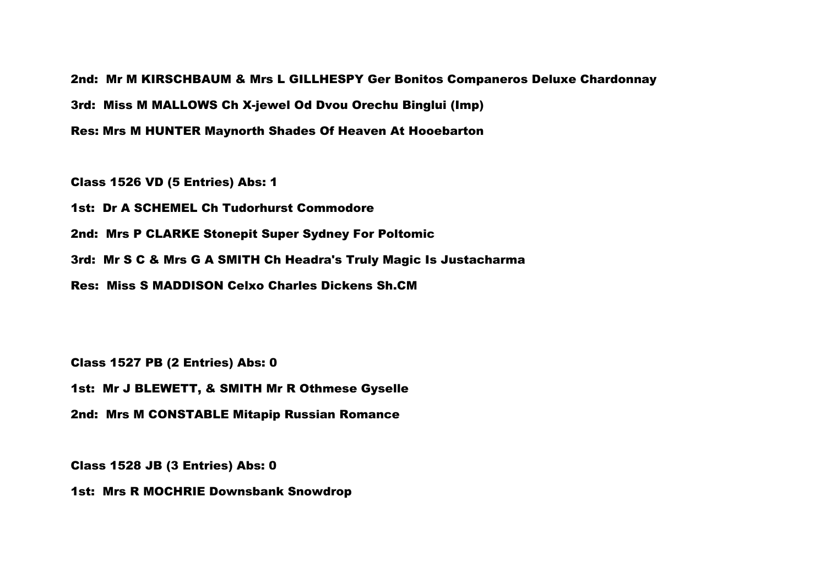2nd: Mr M KIRSCHBAUM & Mrs L GILLHESPY Ger Bonitos Companeros Deluxe Chardonnay 3rd: Miss M MALLOWS Ch X-jewel Od Dvou Orechu Binglui (Imp) Res: Mrs M HUNTER Maynorth Shades Of Heaven At Hooebarton

Class 1526 VD (5 Entries) Abs: 1

1st: Dr A SCHEMEL Ch Tudorhurst Commodore

2nd: Mrs P CLARKE Stonepit Super Sydney For Poltomic

3rd: Mr S C & Mrs G A SMITH Ch Headra's Truly Magic Is Justacharma

Res: Miss S MADDISON Celxo Charles Dickens Sh.CM

Class 1527 PB (2 Entries) Abs: 0

1st: Mr J BLEWETT, & SMITH Mr R Othmese Gyselle

2nd: Mrs M CONSTABLE Mitapip Russian Romance

Class 1528 JB (3 Entries) Abs: 0

1st: Mrs R MOCHRIE Downsbank Snowdrop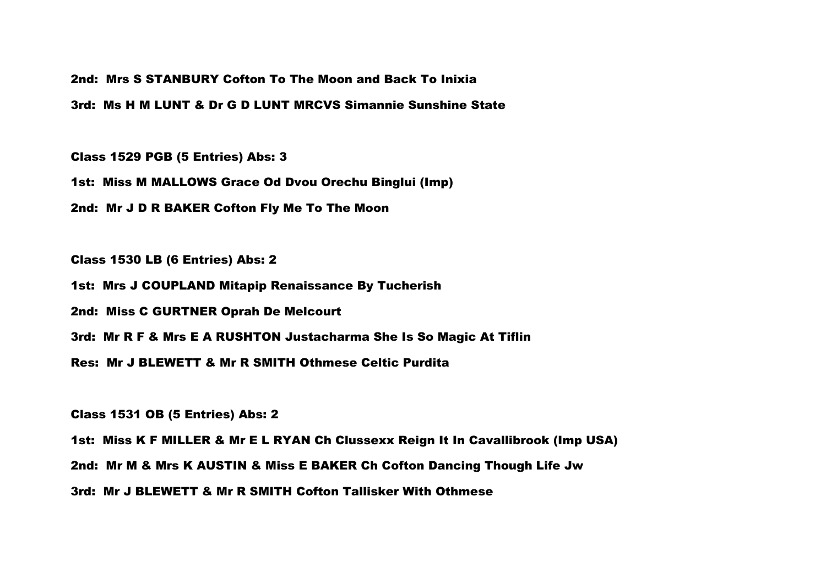2nd: Mrs S STANBURY Cofton To The Moon and Back To Inixia

3rd: Ms H M LUNT & Dr G D LUNT MRCVS Simannie Sunshine State

Class 1529 PGB (5 Entries) Abs: 3

1st: Miss M MALLOWS Grace Od Dvou Orechu Binglui (Imp)

2nd: Mr J D R BAKER Cofton Fly Me To The Moon

Class 1530 LB (6 Entries) Abs: 2

1st: Mrs J COUPLAND Mitapip Renaissance By Tucherish

2nd: Miss C GURTNER Oprah De Melcourt

3rd: Mr R F & Mrs E A RUSHTON Justacharma She Is So Magic At Tiflin

Res: Mr J BLEWETT & Mr R SMITH Othmese Celtic Purdita

Class 1531 OB (5 Entries) Abs: 2

1st: Miss K F MILLER & Mr E L RYAN Ch Clussexx Reign It In Cavallibrook (Imp USA) 2nd: Mr M & Mrs K AUSTIN & Miss E BAKER Ch Cofton Dancing Though Life Jw 3rd: Mr J BLEWETT & Mr R SMITH Cofton Tallisker With Othmese